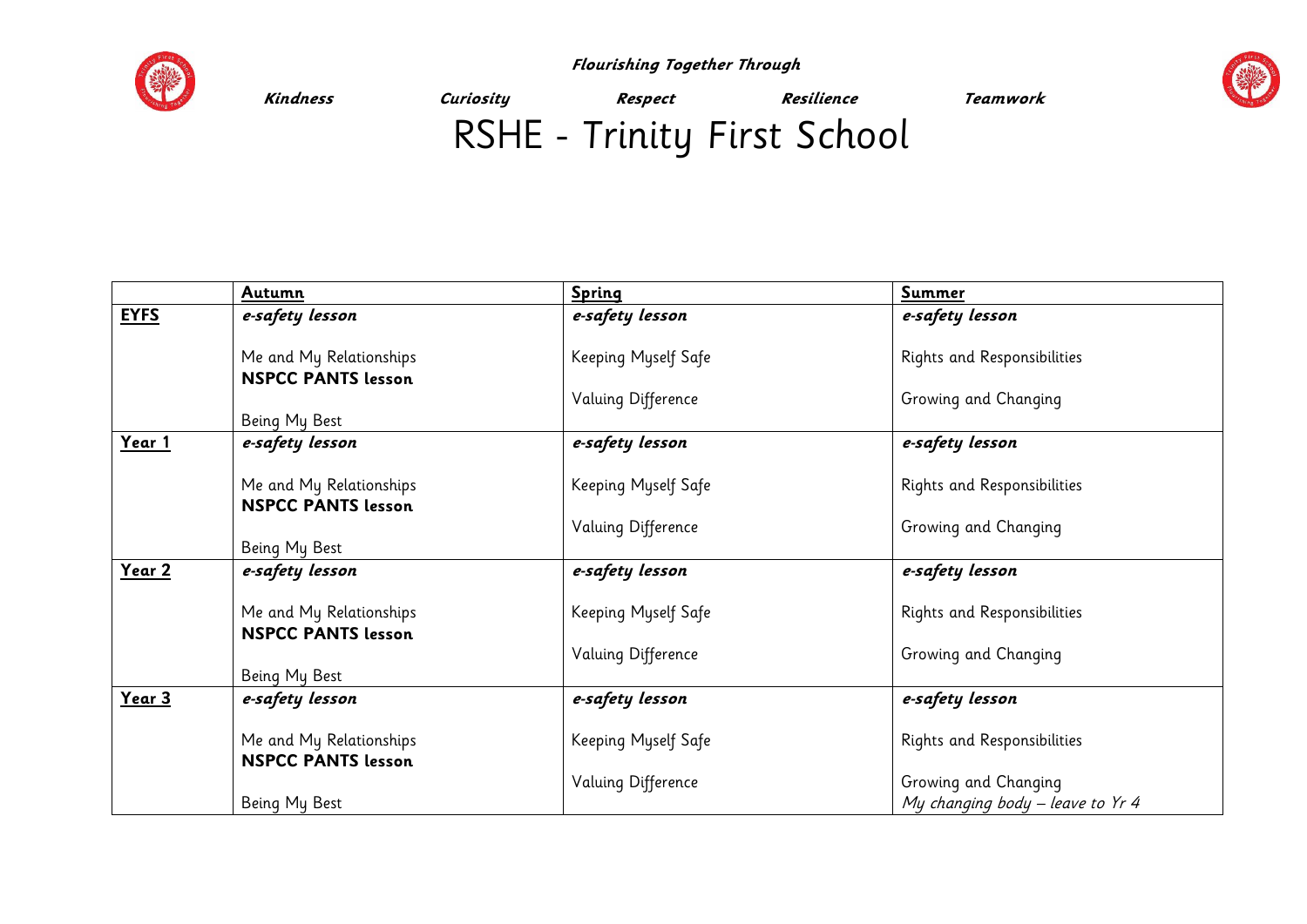

 **Flourishing Together Through** 



**Kindness Curiosity Respect Resilience Teamwork** 

## RSHE - Trinity First School

|             | Autumn                                               | <b>Spring</b>       | <b>Summer</b>                                            |
|-------------|------------------------------------------------------|---------------------|----------------------------------------------------------|
| <b>EYFS</b> | e-safety lesson                                      | e-safety lesson     | e-safety lesson                                          |
|             | Me and My Relationships<br><b>NSPCC PANTS lesson</b> | Keeping Myself Safe | Rights and Responsibilities                              |
|             | Being My Best                                        | Valuing Difference  | Growing and Changing                                     |
| Year 1      | e-safety lesson                                      | e-safety lesson     | e-safety lesson                                          |
|             | Me and My Relationships<br><b>NSPCC PANTS lesson</b> | Keeping Myself Safe | Rights and Responsibilities                              |
|             | Being My Best                                        | Valuing Difference  | Growing and Changing                                     |
| Year 2      | e-safety lesson                                      | e-safety lesson     | e-safety lesson                                          |
|             | Me and My Relationships<br><b>NSPCC PANTS lesson</b> | Keeping Myself Safe | Rights and Responsibilities                              |
|             | Being My Best                                        | Valuing Difference  | Growing and Changing                                     |
| Year 3      | e-safety lesson                                      | e-safety lesson     | e-safety lesson                                          |
|             | Me and My Relationships<br><b>NSPCC PANTS lesson</b> | Keeping Myself Safe | Rights and Responsibilities                              |
|             | Being My Best                                        | Valuing Difference  | Growing and Changing<br>My changing body - leave to Yr 4 |